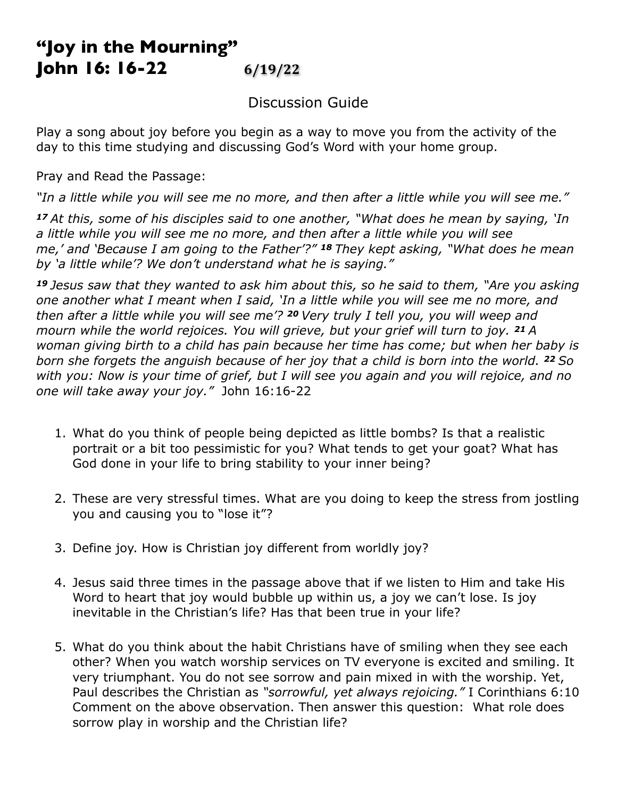## **"Joy in the Mourning" John 16: 16-22 6/19/22**

## Discussion Guide

Play a song about joy before you begin as a way to move you from the activity of the day to this time studying and discussing God's Word with your home group.

Pray and Read the Passage:

*"In a little while you will see me no more, and then after a little while you will see me."*

*<sup>17</sup>At this, some of his disciples said to one another, "What does he mean by saying, 'In a little while you will see me no more, and then after a little while you will see me,' and 'Because I am going to the Father'?" 18 They kept asking, "What does he mean by 'a little while'? We don't understand what he is saying."*

*<sup>19</sup>Jesus saw that they wanted to ask him about this, so he said to them, "Are you asking one another what I meant when I said, 'In a little while you will see me no more, and then after a little while you will see me'? 20 Very truly I tell you, you will weep and mourn while the world rejoices. You will grieve, but your grief will turn to joy. 21 A woman giving birth to a child has pain because her time has come; but when her baby is born she forgets the anguish because of her joy that a child is born into the world. 22 So with you: Now is your time of grief, but I will see you again and you will rejoice, and no one will take away your joy."* John 16:16-22

- 1. What do you think of people being depicted as little bombs? Is that a realistic portrait or a bit too pessimistic for you? What tends to get your goat? What has God done in your life to bring stability to your inner being?
- 2. These are very stressful times. What are you doing to keep the stress from jostling you and causing you to "lose it"?
- 3. Define joy. How is Christian joy different from worldly joy?
- 4. Jesus said three times in the passage above that if we listen to Him and take His Word to heart that joy would bubble up within us, a joy we can't lose. Is joy inevitable in the Christian's life? Has that been true in your life?
- 5. What do you think about the habit Christians have of smiling when they see each other? When you watch worship services on TV everyone is excited and smiling. It very triumphant. You do not see sorrow and pain mixed in with the worship. Yet, Paul describes the Christian as *"sorrowful, yet always rejoicing."* I Corinthians 6:10 Comment on the above observation. Then answer this question: What role does sorrow play in worship and the Christian life?